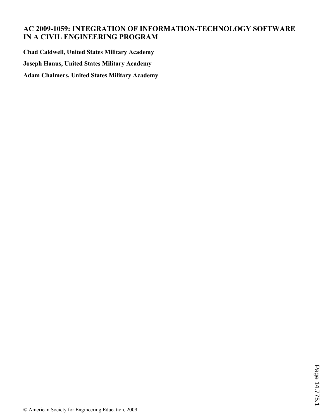# **AC 2009-1059: INTEGRATION OF INFORMATION-TECHNOLOGY SOFTWARE IN A CIVIL ENGINEERING PROGRAM**

**Chad Caldwell, United States Military Academy Joseph Hanus, United States Military Academy Adam Chalmers, United States Military Academy**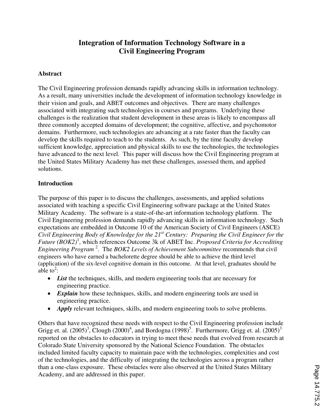# **Integration of Information Technology Software in a Civil Engineering Program**

### **Abstract**

The Civil Engineering profession demands rapidly advancing skills in information technology. As a result, many universities include the development of information technology knowledge in their vision and goals, and ABET outcomes and objectives. There are many challenges associated with integrating such technologies in courses and programs. Underlying these challenges is the realization that student development in these areas is likely to encompass all three commonly accepted domains of development; the cognitive, affective, and psychomotor domains. Furthermore, such technologies are advancing at a rate faster than the faculty can develop the skills required to teach to the students. As such, by the time faculty develop sufficient knowledge, appreciation and physical skills to use the technologies, the technologies have advanced to the next level. This paper will discuss how the Civil Engineering program at the United States Military Academy has met these challenges, assessed them, and applied solutions.

### **Introduction**

The purpose of this paper is to discuss the challenges, assessments, and applied solutions associated with teaching a specific Civil Engineering software package at the United States Military Academy. The software is a state-of-the-art information technology platform. The Civil Engineering profession demands rapidly advancing skills in information technology. Such expectations are embedded in Outcome 10 of the American Society of Civil Engineers (ASCE) *Civil Engineering Body of Knowledge for the 21st Century: Preparing the Civil Engineer for the Future (BOK2)*<sup>1</sup> , which references Outcome 3k of ABET Inc. *Proposed Criteria for Accrediting Engineering Program* <sup>2</sup> . The *BOK2 Levels of Achievement Subcommittee* recommends that civil engineers who have earned a bachelorette degree should be able to achieve the third level (application) of the six-level cognitive domain in this outcome. At that level, graduates should be able to<sup>2</sup>:

- *List* the techniques, skills, and modern engineering tools that are necessary for engineering practice.
- *Explain* how these techniques, skills, and modern engineering tools are used in engineering practice.
- *Apply* relevant techniques, skills, and modern engineering tools to solve problems.

Others that have recognized these needs with respect to the Civil Engineering profession include Grigg et. al.  $(2005)^3$ , Clough  $(2000)^4$ , and Bordogna  $(1998)^5$ . Furthermore, Grigg et. al.  $(2005)^3$ reported on the obstacles to educators in trying to meet these needs that evolved from research at Colorado State University sponsored by the National Science Foundation. The obstacles included limited faculty capacity to maintain pace with the technologies, complexities and cost of the technologies, and the difficulty of integrating the technologies across a program rather than a one-class exposure. These obstacles were also observed at the United States Military Academy, and are addressed in this paper.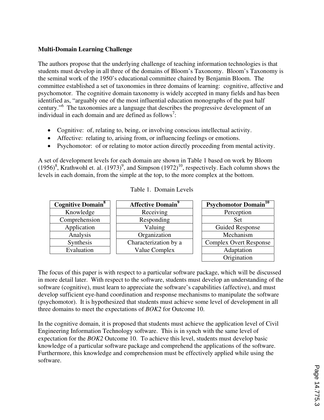### **Multi-Domain Learning Challenge**

The authors propose that the underlying challenge of teaching information technologies is that students must develop in all three of the domains of Bloom's Taxonomy. Bloom's Taxonomy is the seminal work of the 1950's educational committee chaired by Benjamin Bloom. The committee established a set of taxonomies in three domains of learning: cognitive, affective and psychomotor. The cognitive domain taxonomy is widely accepted in many fields and has been identified as, "arguably one of the most influential education monographs of the past half century."<sup>6</sup> The taxonomies are a language that describes the progressive development of an individual in each domain and are defined as follows<sup>7</sup>:

- Cognitive: of, relating to, being, or involving conscious intellectual activity.
- Affective: relating to, arising from, or influencing feelings or emotions.
- Psychomotor: of or relating to motor action directly proceeding from mental activity.

A set of development levels for each domain are shown in Table 1 based on work by Bloom (1956)<sup>8</sup>, Krathwohl et. al. (1973)<sup>9</sup>, and Simpson (1972)<sup>10</sup>, respectively. Each column shows the levels in each domain, from the simple at the top, to the more complex at the bottom.

| <b>Cognitive Domain<sup>8</sup></b> | <b>Affective Domain</b> <sup>9</sup> | <b>Psychomotor Domain</b> <sup>10</sup> |
|-------------------------------------|--------------------------------------|-----------------------------------------|
| Knowledge                           | Receiving                            | Perception                              |
| Comprehension                       | Responding                           | Set                                     |
| Application                         | Valuing                              | Guided Response                         |
| Analysis                            | Organization                         | Mechanism                               |
| Synthesis                           | Characterization by a                | <b>Complex Overt Response</b>           |
| Evaluation                          | Value Complex                        | Adaptation                              |
|                                     |                                      | Origination                             |

|  | Table 1. Domain Levels |
|--|------------------------|
|--|------------------------|

The focus of this paper is with respect to a particular software package, which will be discussed in more detail later. With respect to the software, students must develop an understanding of the software (cognitive), must learn to appreciate the software's capabilities (affective), and must develop sufficient eye-hand coordination and response mechanisms to manipulate the software (psychomotor). It is hypothesized that students must achieve some level of development in all three domains to meet the expectations of *BOK2* for Outcome 10.

In the cognitive domain, it is proposed that students must achieve the application level of Civil Engineering Information Technology software. This is in synch with the same level of expectation for the *BOK2* Outcome 10. To achieve this level, students must develop basic knowledge of a particular software package and comprehend the applications of the software. Furthermore, this knowledge and comprehension must be effectively applied while using the software.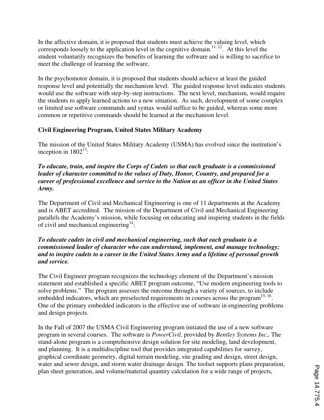In the affective domain, it is proposed that students must achieve the valuing level, which corresponds loosely to the application level in the cognitive domain.<sup>11, 12</sup>. At this level the student voluntarily recognizes the benefits of learning the software and is willing to sacrifice to meet the challenge of learning the software.

In the psychomotor domain, it is proposed that students should achieve at least the guided response level and potentially the mechanism level. The guided response level indicates students would use the software with step-by-step instructions. The next level, mechanism, would require the students to apply learned actions to a new situation. As such, development of some complex or limited use software commands and syntax would suffice to be guided, whereas some more common or repetitive commands should be learned at the mechanism level.

# **Civil Engineering Program, United States Military Academy**

The mission of the United States Military Academy (USMA) has evolved since the institution's inception in  $1802^{13}$ :

### *To educate, train, and inspire the Corps of Cadets so that each graduate is a commissioned leader of character committed to the values of Duty, Honor, Country, and prepared for a career of professional excellence and service to the Nation as an officer in the United States Army.*

The Department of Civil and Mechanical Engineering is one of 11 departments at the Academy and is ABET accredited. The mission of the Department of Civil and Mechanical Engineering parallels the Academy's mission, while focusing on educating and inspiring students in the fields of civil and mechanical engineering $14$ :

### *To educate cadets in civil and mechanical engineering, such that each graduate is a commissioned leader of character who can understand, implement, and manage technology; and to inspire cadets to a career in the United States Army and a lifetime of personal growth and service.*

The Civil Engineer program recognizes the technology element of the Department's mission statement and established a specific ABET program outcome, "Use modern engineering tools to solve problems." The program assesses the outcome through a variety of sources, to include embedded indicators, which are preselected requirements in courses across the program<sup>15, 16</sup>. One of the primary embedded indicators is the effective use of software in engineering problems and design projects.

In the Fall of 2007 the USMA Civil Engineering program initiated the use of a new software program in several courses. The software is *PowerCivil,* provided by *Bentley Systems Inc..* The stand-alone program is a comprehensive design solution for site modeling, land development, and planning. It is a multidiscipline tool that provides integrated capabilities for survey, graphical coordinate geometry, digital terrain modeling, site grading and design, street design, water and sewer design, and storm water drainage design. The toolset supports plans preparation, plan sheet generation, and volume/material quantity calculation for a wide range of projects,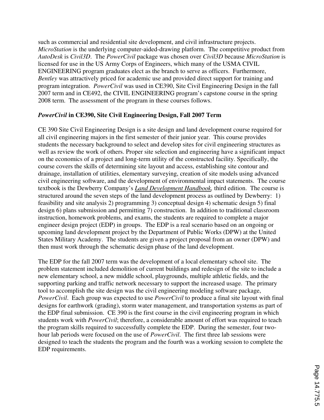such as commercial and residential site development, and civil infrastructure projects. *MicroStation* is the underlying computer-aided-drawing platform. The competitive product from *AutoDesk* is *Civil3D*. The *PowerCivil* package was chosen over *Civil3D* because *MicroStation* is licensed for use in the US Army Corps of Engineers, which many of the USMA CIVIL ENGINEERING program graduates elect as the branch to serve as officers. Furthermore, *Bentley* was attractively priced for academic use and provided direct support for training and program integration. *PowerCivil* was used in CE390, Site Civil Engineering Design in the fall 2007 term and in CE492, the CIVIL ENGINEERING program's capstone course in the spring 2008 term. The assessment of the program in these courses follows.

### *PowerCivil* **in CE390, Site Civil Engineering Design, Fall 2007 Term**

CE 390 Site Civil Engineering Design is a site design and land development course required for all civil engineering majors in the first semester of their junior year. This course provides students the necessary background to select and develop sites for civil engineering structures as well as review the work of others. Proper site selection and engineering have a significant impact on the economics of a project and long-term utility of the constructed facility. Specifically, the course covers the skills of determining site layout and access, establishing site contour and drainage, installation of utilities, elementary surveying, creation of site models using advanced civil engineering software, and the development of environmental impact statements. The course textbook is the Dewberry Company's *Land Development Handbook,* third edition. The course is structured around the seven steps of the land development process as outlined by Dewberry: 1) feasibility and site analysis 2) programming 3) conceptual design 4) schematic design 5) final design 6) plans submission and permitting 7) construction. In addition to traditional classroom instruction, homework problems, and exams, the students are required to complete a major engineer design project (EDP) in groups. The EDP is a real scenario based on an ongoing or upcoming land development project by the Department of Public Works (DPW) at the United States Military Academy. The students are given a project proposal from an owner (DPW) and then must work through the schematic design phase of the land development.

The EDP for the fall 2007 term was the development of a local elementary school site. The problem statement included demolition of current buildings and redesign of the site to include a new elementary school, a new middle school, playgrounds, multiple athletic fields, and the supporting parking and traffic network necessary to support the increased usage. The primary tool to accomplish the site design was the civil engineering modeling software package, *PowerCivil*. Each group was expected to use *PowerCivil* to produce a final site layout with final designs for earthwork (grading), storm water management, and transportation systems as part of the EDP final submission. CE 390 is the first course in the civil engineering program in which students work with *PowerCivil*; therefore, a considerable amount of effort was required to teach the program skills required to successfully complete the EDP. During the semester, four twohour lab periods were focused on the use of *PowerCivil*. The first three lab sessions were designed to teach the students the program and the fourth was a working session to complete the EDP requirements.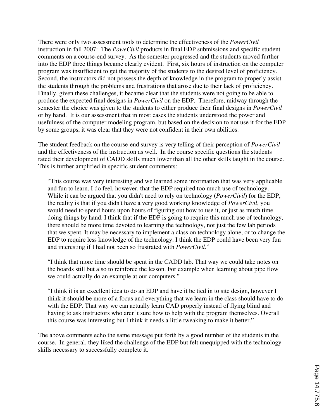There were only two assessment tools to determine the effectiveness of the *PowerCivil* instruction in fall 2007: The *PoweCivil* products in final EDP submissions and specific student comments on a course-end survey. As the semester progressed and the students moved further into the EDP three things became clearly evident. First, six hours of instruction on the computer program was insufficient to get the majority of the students to the desired level of proficiency. Second, the instructors did not possess the depth of knowledge in the program to properly assist the students through the problems and frustrations that arose due to their lack of proficiency. Finally, given these challenges, it became clear that the students were not going to be able to produce the expected final designs in *PowerCivil* on the EDP. Therefore, midway through the semester the choice was given to the students to either produce their final designs in *PowerCivil* or by hand. It is our assessment that in most cases the students understood the power and usefulness of the computer modeling program, but based on the decision to not use it for the EDP by some groups, it was clear that they were not confident in their own abilities.

The student feedback on the course-end survey is very telling of their perception of *PowerCivil*  and the effectiveness of the instruction as well. In the course specific questions the students rated their development of CADD skills much lower than all the other skills taught in the course. This is further amplified in specific student comments:

"This course was very interesting and we learned some information that was very applicable and fun to learn. I do feel, however, that the EDP required too much use of technology. While it can be argued that you didn't need to rely on technology (*PowerCivil*) for the EDP, the reality is that if you didn't have a very good working knowledge of *PowerCivil*, you would need to spend hours upon hours of figuring out how to use it, or just as much time doing things by hand. I think that if the EDP is going to require this much use of technology, there should be more time devoted to learning the technology, not just the few lab periods that we spent. It may be necessary to implement a class on technology alone, or to change the EDP to require less knowledge of the technology. I think the EDP could have been very fun and interesting if I had not been so frustrated with *PowerCivil*."

"I think that more time should be spent in the CADD lab. That way we could take notes on the boards still but also to reinforce the lesson. For example when learning about pipe flow we could actually do an example at our computers."

"I think it is an excellent idea to do an EDP and have it be tied in to site design, however I think it should be more of a focus and everything that we learn in the class should have to do with the EDP. That way we can actually learn CAD properly instead of flying blind and having to ask instructors who aren't sure how to help with the program themselves. Overall this course was interesting but I think it needs a little tweaking to make it better."

The above comments echo the same message put forth by a good number of the students in the course. In general, they liked the challenge of the EDP but felt unequipped with the technology skills necessary to successfully complete it.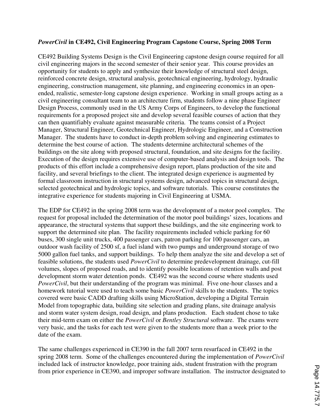### *PowerCivil* **in CE492, Civil Engineering Program Capstone Course, Spring 2008 Term**

CE492 Building Systems Design is the Civil Engineering capstone design course required for all civil engineering majors in the second semester of their senior year. This course provides an opportunity for students to apply and synthesize their knowledge of structural steel design, reinforced concrete design, structural analysis, geotechnical engineering, hydrology, hydraulic engineering, construction management, site planning, and engineering economics in an openended, realistic, semester-long capstone design experience. Working in small groups acting as a civil engineering consultant team to an architecture firm, students follow a nine phase Engineer Design Process, commonly used in the US Army Corps of Engineers, to develop the functional requirements for a proposed project site and develop several feasible courses of action that they can then quantifiably evaluate against measurable criteria. The teams consist of a Project Manager, Structural Engineer, Geotechnical Engineer, Hydrologic Engineer, and a Construction Manager. The students have to conduct in-depth problem solving and engineering estimates to determine the best course of action. The students determine architectural schemes of the buildings on the site along with proposed structural, foundation, and site designs for the facility. Execution of the design requires extensive use of computer-based analysis and design tools. The products of this effort include a comprehensive design report, plans production of the site and facility, and several briefings to the client. The integrated design experience is augmented by formal classroom instruction in structural systems design, advanced topics in structural design, selected geotechnical and hydrologic topics, and software tutorials. This course constitutes the integrative experience for students majoring in Civil Engineering at USMA.

The EDP for CE492 in the spring 2008 term was the development of a motor pool complex. The request for proposal included the determination of the motor pool buildings' sizes, locations and appearance, the structural systems that support these buildings, and the site engineering work to support the determined site plan. The facility requirements included vehicle parking for 60 buses, 300 single unit trucks, 400 passenger cars, patron parking for 100 passenger cars, an outdoor wash facility of 2500 sf, a fuel island with two pumps and underground storage of two 5000 gallon fuel tanks, and support buildings. To help them analyze the site and develop a set of feasible solutions, the students used *PowerCivil* to determine predevelopment drainage, cut-fill volumes, slopes of proposed roads, and to identify possible locations of retention walls and post development storm water detention ponds. CE492 was the second course where students used *PowerCivil*, but their understanding of the program was minimal. Five one-hour classes and a homework tutorial were used to teach some basic *PowerCivil* skills to the students. The topics covered were basic CADD drafting skills using MicroStation, developing a Digital Terrain Model from topographic data, building site selection and grading plans, site drainage analysis and storm water system design, road design, and plans production. Each student chose to take their mid-term exam on either the *PowerCivil* or *Bentley Structural* software. The exams were very basic, and the tasks for each test were given to the students more than a week prior to the date of the exam.

The same challenges experienced in CE390 in the fall 2007 term resurfaced in CE492 in the spring 2008 term. Some of the challenges encountered during the implementation of *PowerCivil* included lack of instructor knowledge, poor training aids, student frustration with the program from prior experience in CE390, and improper software installation. The instructor designated to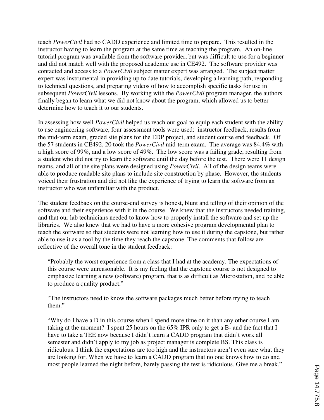teach *PowerCivil* had no CADD experience and limited time to prepare. This resulted in the instructor having to learn the program at the same time as teaching the program. An on-line tutorial program was available from the software provider, but was difficult to use for a beginner and did not match well with the proposed academic use in CE492. The software provider was contacted and access to a *PowerCivil* subject matter expert was arranged. The subject matter expert was instrumental in providing up to date tutorials, developing a learning path, responding to technical questions, and preparing videos of how to accomplish specific tasks for use in subsequent *PowerCivil* lessons. By working with the *PowerCivil* program manager, the authors finally began to learn what we did not know about the program, which allowed us to better determine how to teach it to our students.

In assessing how well *PowerCivil* helped us reach our goal to equip each student with the ability to use engineering software, four assessment tools were used: instructor feedback, results from the mid-term exam, graded site plans for the EDP project, and student course end feedback. Of the 57 students in CE492, 20 took the *PowerCivil* mid-term exam. The average was 84.4% with a high score of 99%, and a low score of 49%. The low score was a failing grade, resulting from a student who did not try to learn the software until the day before the test. There were 11 design teams, and all of the site plans were designed using *PowerCivil*. All of the design teams were able to produce readable site plans to include site construction by phase. However, the students voiced their frustration and did not like the experience of trying to learn the software from an instructor who was unfamiliar with the product.

The student feedback on the course-end survey is honest, blunt and telling of their opinion of the software and their experience with it in the course. We knew that the instructors needed training, and that our lab technicians needed to know how to properly install the software and set up the libraries. We also knew that we had to have a more cohesive program developmental plan to teach the software so that students were not learning how to use it during the capstone, but rather able to use it as a tool by the time they reach the capstone. The comments that follow are reflective of the overall tone in the student feedback:

"Probably the worst experience from a class that I had at the academy. The expectations of this course were unreasonable. It is my feeling that the capstone course is not designed to emphasize learning a new (software) program, that is as difficult as Microstation, and be able to produce a quality product."

"The instructors need to know the software packages much better before trying to teach them."

"Why do I have a D in this course when I spend more time on it than any other course I am taking at the moment? I spent 25 hours on the 65% IPR only to get a B- and the fact that I have to take a TEE now because I didn't learn a CADD program that didn't work all semester and didn't apply to my job as project manager is complete BS. This class is ridiculous. I think the expectations are too high and the instructors aren't even sure what they are looking for. When we have to learn a CADD program that no one knows how to do and most people learned the night before, barely passing the test is ridiculous. Give me a break."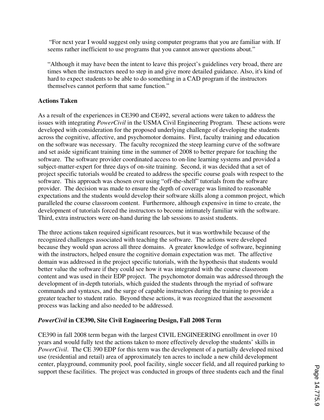"For next year I would suggest only using computer programs that you are familiar with. If seems rather inefficient to use programs that you cannot answer questions about."

"Although it may have been the intent to leave this project's guidelines very broad, there are times when the instructors need to step in and give more detailed guidance. Also, it's kind of hard to expect students to be able to do something in a CAD program if the instructors themselves cannot perform that same function."

# **Actions Taken**

As a result of the experiences in CE390 and CE492, several actions were taken to address the issues with integrating *PowerCivil* in the USMA Civil Engineering Program. These actions were developed with consideration for the proposed underlying challenge of developing the students across the cognitive, affective, and psychomotor domains. First, faculty training and education on the software was necessary. The faculty recognized the steep learning curve of the software and set aside significant training time in the summer of 2008 to better prepare for teaching the software. The software provider coordinated access to on-line learning systems and provided a subject-matter-expert for three days of on-site training. Second, it was decided that a set of project specific tutorials would be created to address the specific course goals with respect to the software. This approach was chosen over using "off-the-shelf" tutorials from the software provider. The decision was made to ensure the depth of coverage was limited to reasonable expectations and the students would develop their software skills along a common project, which paralleled the course classroom content. Furthermore, although expensive in time to create, the development of tutorials forced the instructors to become intimately familiar with the software. Third, extra instructors were on-hand during the lab sessions to assist students.

The three actions taken required significant resources, but it was worthwhile because of the recognized challenges associated with teaching the software. The actions were developed because they would span across all three domains. A greater knowledge of software, beginning with the instructors, helped ensure the cognitive domain expectation was met. The affective domain was addressed in the project specific tutorials, with the hypothesis that students would better value the software if they could see how it was integrated with the course classroom content and was used in their EDP project. The psychomotor domain was addressed through the development of in-depth tutorials, which guided the students through the myriad of software commands and syntaxes, and the surge of capable instructors during the training to provide a greater teacher to student ratio. Beyond these actions, it was recognized that the assessment process was lacking and also needed to be addressed.

## *PowerCivil* **in CE390, Site Civil Engineering Design, Fall 2008 Term**

CE390 in fall 2008 term began with the largest CIVIL ENGINEERING enrollment in over 10 years and would fully test the actions taken to more effectively develop the students' skills in *PowerCivil*. The CE 390 EDP for this term was the development of a partially developed mixed use (residential and retail) area of approximately ten acres to include a new child development center, playground, community pool, pool facility, single soccer field, and all required parking to support these facilities. The project was conducted in groups of three students each and the final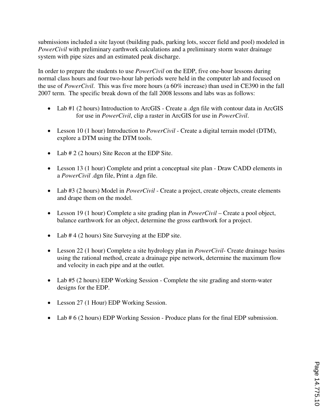submissions included a site layout (building pads, parking lots, soccer field and pool) modeled in *PowerCivil* with preliminary earthwork calculations and a preliminary storm water drainage system with pipe sizes and an estimated peak discharge.

In order to prepare the students to use *PowerCivil* on the EDP, five one-hour lessons during normal class hours and four two-hour lab periods were held in the computer lab and focused on the use of *PowerCivil*. This was five more hours (a 60% increase) than used in CE390 in the fall 2007 term. The specific break down of the fall 2008 lessons and labs was as follows:

- Lab #1 (2 hours) Introduction to ArcGIS Create a .dgn file with contour data in ArcGIS for use in *PowerCivil*, clip a raster in ArcGIS for use in *PowerCivil*.
- Lesson 10 (1 hour) Introduction to *PowerCivil* Create a digital terrain model (DTM), explore a DTM using the DTM tools.
- Lab # 2 (2 hours) Site Recon at the EDP Site.
- Lesson 13 (1 hour) Complete and print a conceptual site plan Draw CADD elements in a *PowerCivil* .dgn file, Print a .dgn file.
- Lab #3 (2 hours) Model in *PowerCivil* Create a project, create objects, create elements and drape them on the model.
- Lesson 19 (1 hour) Complete a site grading plan in *PowerCivil* Create a pool object, balance earthwork for an object, determine the gross earthwork for a project.
- Lab # 4 (2 hours) Site Surveying at the EDP site.
- Lesson 22 (1 hour) Complete a site hydrology plan in *PowerCivil* Create drainage basins using the rational method, create a drainage pipe network, determine the maximum flow and velocity in each pipe and at the outlet.
- Lab #5 (2 hours) EDP Working Session Complete the site grading and storm-water designs for the EDP.
- Lesson 27 (1 Hour) EDP Working Session.
- Lab # 6 (2 hours) EDP Working Session Produce plans for the final EDP submission.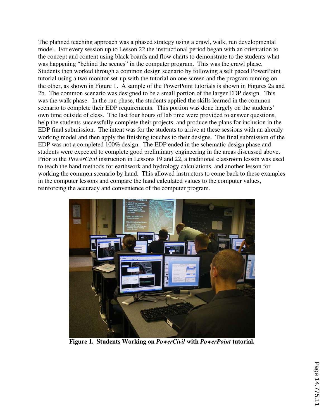The planned teaching approach was a phased strategy using a crawl, walk, run developmental model. For every session up to Lesson 22 the instructional period began with an orientation to the concept and content using black boards and flow charts to demonstrate to the students what was happening "behind the scenes" in the computer program. This was the crawl phase. Students then worked through a common design scenario by following a self paced PowerPoint tutorial using a two monitor set-up with the tutorial on one screen and the program running on the other, as shown in Figure 1. A sample of the PowerPoint tutorials is shown in Figures 2a and 2b. The common scenario was designed to be a small portion of the larger EDP design. This was the walk phase. In the run phase, the students applied the skills learned in the common scenario to complete their EDP requirements. This portion was done largely on the students' own time outside of class. The last four hours of lab time were provided to answer questions, help the students successfully complete their projects, and produce the plans for inclusion in the EDP final submission. The intent was for the students to arrive at these sessions with an already working model and then apply the finishing touches to their designs. The final submission of the EDP was not a completed 100% design. The EDP ended in the schematic design phase and students were expected to complete good preliminary engineering in the areas discussed above. Prior to the *PowerCivil* instruction in Lessons 19 and 22, a traditional classroom lesson was used to teach the hand methods for earthwork and hydrology calculations, and another lesson for working the common scenario by hand. This allowed instructors to come back to these examples in the computer lessons and compare the hand calculated values to the computer values, reinforcing the accuracy and convenience of the computer program.



**Figure 1. Students Working on** *PowerCivil* **with** *PowerPoint* **tutorial.**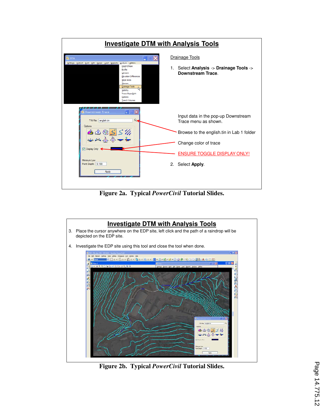| <b>Investigate DTM with Analysis Tools</b>                                                                                                                                             |  |                                                             |  |
|----------------------------------------------------------------------------------------------------------------------------------------------------------------------------------------|--|-------------------------------------------------------------|--|
| <b>DTM</b><br>Analysis Utilities<br>Settings Extract Build Edit Drape Load Reports<br>Height/Slope                                                                                     |  | Drainage Tools<br>1. Select Analysis -> Drainage Tools ->   |  |
| Profile<br>Volumes<br><b>Elevation Differences</b><br>Slope Area<br><b>Themes</b><br><b>Drainage Tools</b><br>Visibility<br><b>Trace Slope Path</b><br>Camera<br><b>Trench Volumes</b> |  | Downstream Trace.                                           |  |
| <b>Downstream Trace</b><br>۰<br>Q<br>TIN File: english.tin<br>Options                                                                                                                  |  | Input data in the pop-up Downstream<br>Trace menu as shown. |  |
| $55\%$<br>d.                                                                                                                                                                           |  | Browse to the english tin in Lab 1 folder                   |  |
| <b>V</b> Display Only                                                                                                                                                                  |  | Change color of trace                                       |  |
| Minimum Low                                                                                                                                                                            |  | <b>ENSURE TOGGLE DISPLAY ONLY!</b>                          |  |
| Point Depth: 0.100<br>Apply                                                                                                                                                            |  | 2. Select Apply.                                            |  |
|                                                                                                                                                                                        |  |                                                             |  |

**Figure 2a. Typical** *PowerCivil* **Tutorial Slides.** 



**Figure 2b. Typical** *PowerCivil* **Tutorial Slides.**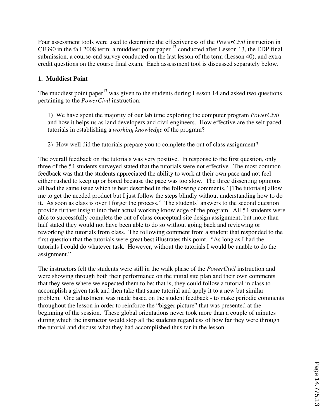Four assessment tools were used to determine the effectiveness of the *PowerCivil* instruction in CE390 in the fall 2008 term: a muddiest point paper <sup>17</sup> conducted after Lesson 13, the EDP final submission, a course-end survey conducted on the last lesson of the term (Lesson 40), and extra credit questions on the course final exam. Each assessment tool is discussed separately below.

# **1. Muddiest Point**

The muddiest point paper<sup>17</sup> was given to the students during Lesson 14 and asked two questions pertaining to the *PowerCivil* instruction:

1) We have spent the majority of our lab time exploring the computer program *PowerCivil* and how it helps us as land developers and civil engineers. How effective are the self paced tutorials in establishing a *working knowledge* of the program?

2) How well did the tutorials prepare you to complete the out of class assignment?

The overall feedback on the tutorials was very positive. In response to the first question, only three of the 54 students surveyed stated that the tutorials were not effective. The most common feedback was that the students appreciated the ability to work at their own pace and not feel either rushed to keep up or bored because the pace was too slow. The three dissenting opinions all had the same issue which is best described in the following comments, "[The tutorials] allow me to get the needed product but I just follow the steps blindly without understanding how to do it. As soon as class is over I forget the process." The students' answers to the second question provide further insight into their actual working knowledge of the program. All 54 students were able to successfully complete the out of class conceptual site design assignment, but more than half stated they would not have been able to do so without going back and reviewing or reworking the tutorials from class. The following comment from a student that responded to the first question that the tutorials were great best illustrates this point. "As long as I had the tutorials I could do whatever task. However, without the tutorials I would be unable to do the assignment."

The instructors felt the students were still in the walk phase of the *PowerCivil* instruction and were showing through both their performance on the initial site plan and their own comments that they were where we expected them to be; that is, they could follow a tutorial in class to accomplish a given task and then take that same tutorial and apply it to a new but similar problem. One adjustment was made based on the student feedback - to make periodic comments throughout the lesson in order to reinforce the "bigger picture" that was presented at the beginning of the session. These global orientations never took more than a couple of minutes during which the instructor would stop all the students regardless of how far they were through the tutorial and discuss what they had accomplished thus far in the lesson.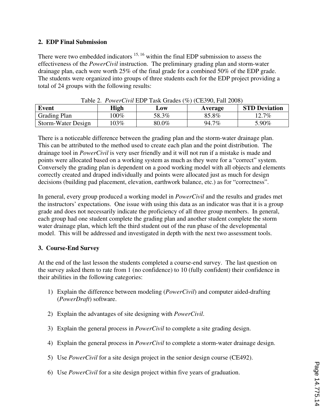## **2. EDP Final Submission**

There were two embedded indicators  $15, 16$  within the final EDP submission to assess the effectiveness of the *PowerCivil* instruction. The preliminary grading plan and storm-water drainage plan, each were worth 25% of the final grade for a combined 50% of the EDP grade. The students were organized into groups of three students each for the EDP project providing a total of 24 groups with the following results:

| Table 2. FowerCivil EDF Task Grades (%) (CE390, Fall 2006) |         |       |         |                      |  |
|------------------------------------------------------------|---------|-------|---------|----------------------|--|
| Event                                                      | High    | LOW   | Average | <b>STD Deviation</b> |  |
| <b>Grading Plan</b>                                        | $100\%$ | 58.3% | 85.8%   | 12.7%                |  |
| Storm-Water Design                                         | $103\%$ | 80.0% | 94.7%   | 5.90%                |  |

Table 2. *PowerCivil* EDP Task Grades (%) (CE390, Fall 2008)

There is a noticeable difference between the grading plan and the storm-water drainage plan. This can be attributed to the method used to create each plan and the point distribution. The drainage tool in *PowerCivil* is very user friendly and it will not run if a mistake is made and points were allocated based on a working system as much as they were for a "correct" system. Conversely the grading plan is dependent on a good working model with all objects and elements correctly created and draped individually and points were allocated just as much for design decisions (building pad placement, elevation, earthwork balance, etc.) as for "correctness".

In general, every group produced a working model in *PowerCivil* and the results and grades met the instructors' expectations. One issue with using this data as an indicator was that it is a group grade and does not necessarily indicate the proficiency of all three group members. In general, each group had one student complete the grading plan and another student complete the storm water drainage plan, which left the third student out of the run phase of the developmental model. This will be addressed and investigated in depth with the next two assessment tools.

# **3. Course-End Survey**

At the end of the last lesson the students completed a course-end survey. The last question on the survey asked them to rate from 1 (no confidence) to 10 (fully confident) their confidence in their abilities in the following categories:

- 1) Explain the difference between modeling (*PowerCivil*) and computer aided-drafting (*PowerDraft*) software.
- 2) Explain the advantages of site designing with *PowerCivil*.
- 3) Explain the general process in *PowerCivil* to complete a site grading design.
- 4) Explain the general process in *PowerCivil* to complete a storm-water drainage design.
- 5) Use *PowerCivil* for a site design project in the senior design course (CE492).
- 6) Use *PowerCivil* for a site design project within five years of graduation.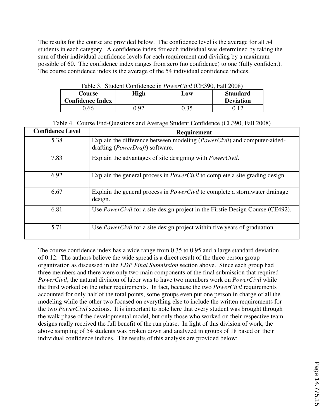The results for the course are provided below. The confidence level is the average for all 54 students in each category. A confidence index for each individual was determined by taking the sum of their individual confidence levels for each requirement and dividing by a maximum possible of 60. The confidence index ranges from zero (no confidence) to one (fully confident). The course confidence index is the average of the 54 individual confidence indices.

| Table 3. Student Confidence in <i>PowerCivil</i> (CE390, Fall 2008) |      |      |                  |  |
|---------------------------------------------------------------------|------|------|------------------|--|
| <b>Standard</b><br>High<br>Course<br>Low                            |      |      |                  |  |
| <b>Confidence Index</b>                                             |      |      | <b>Deviation</b> |  |
| ) 66                                                                | 7.92 | 0.35 | 0.12             |  |

Table 3. Student Confidence in *PowerCivil* (CE390, Fall 2008)

|  | Table 4. Course End-Questions and Average Student Confidence (CE390, Fall 2008) |  |  |  |  |  |  |
|--|---------------------------------------------------------------------------------|--|--|--|--|--|--|
|--|---------------------------------------------------------------------------------|--|--|--|--|--|--|

| <b>Confidence Level</b> | Requirement                                                                                                                   |
|-------------------------|-------------------------------------------------------------------------------------------------------------------------------|
| 5.38                    | Explain the difference between modeling ( <i>PowerCivil</i> ) and computer-aided-<br>drafting ( <i>PowerDraft</i> ) software. |
| 7.83                    | Explain the advantages of site designing with <i>PowerCivil</i> .                                                             |
| 6.92                    | Explain the general process in <i>PowerCivil</i> to complete a site grading design.                                           |
| 6.67                    | Explain the general process in <i>PowerCivil</i> to complete a stormwater drainage<br>design.                                 |
| 6.81                    | Use <i>PowerCivil</i> for a site design project in the Firstie Design Course (CE492).                                         |
| 5.71                    | Use <i>PowerCivil</i> for a site design project within five years of graduation.                                              |

The course confidence index has a wide range from 0.35 to 0.95 and a large standard deviation of 0.12. The authors believe the wide spread is a direct result of the three person group organization as discussed in the *EDP Final Submission* section above. Since each group had three members and there were only two main components of the final submission that required *PowerCivil*, the natural division of labor was to have two members work on *PowerCivil* while the third worked on the other requirements. In fact, because the two *PowerCivil* requirements accounted for only half of the total points, some groups even put one person in charge of all the modeling while the other two focused on everything else to include the written requirements for the two *PowerCivil* sections. It is important to note here that every student was brought through the walk phase of the developmental model, but only those who worked on their respective team designs really received the full benefit of the run phase. In light of this division of work, the above sampling of 54 students was broken down and analyzed in groups of 18 based on their individual confidence indices. The results of this analysis are provided below: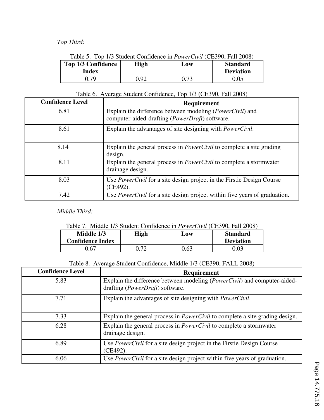# *Top Third:*

| Table 5. Top 1/3 Student Confidence in <i>PowerCivil</i> (CE390, Fall 2008) |                  |      |      |  |  |  |
|-----------------------------------------------------------------------------|------------------|------|------|--|--|--|
| <b>Top 1/3 Confidence</b><br><b>High</b><br><b>Standard</b><br>Low          |                  |      |      |  |  |  |
| Index                                                                       | <b>Deviation</b> |      |      |  |  |  |
| በ 79                                                                        | 0.92             | 0.73 | 0.05 |  |  |  |

#### Table 5. Top 1/3 Student Confidence in *PowerCivil* (CE390, Fall 2008)

# Table 6. Average Student Confidence, Top 1/3 (CE390, Fall 2008)

| <b>Confidence Level</b> | <b>Requirement</b>                                                                                                           |
|-------------------------|------------------------------------------------------------------------------------------------------------------------------|
| 6.81                    | Explain the difference between modeling ( <i>PowerCivil</i> ) and<br>computer-aided-drafting ( <i>PowerDraft</i> ) software. |
| 8.61                    | Explain the advantages of site designing with <i>PowerCivil</i> .                                                            |
| 8.14                    | Explain the general process in <i>PowerCivil</i> to complete a site grading<br>design.                                       |
| 8.11                    | Explain the general process in <i>PowerCivil</i> to complete a stormwater<br>drainage design.                                |
| 8.03                    | Use <i>PowerCivil</i> for a site design project in the Firstie Design Course<br>(CE492).                                     |
| 7.42                    | Use <i>PowerCivil</i> for a site design project within five years of graduation.                                             |

 *Middle Third:* 

# Table 7. Middle 1/3 Student Confidence in *PowerCivil* (CE390, Fall 2008)

| Middle 1/3<br><b>Confidence Index</b> | High | LOW | <b>Standard</b><br><b>Deviation</b> |
|---------------------------------------|------|-----|-------------------------------------|
| -67                                   | ገ ግባ | .63 | ገ በ3                                |

Table 8. Average Student Confidence, Middle 1/3 (CE390, FALL 2008)

| <b>Confidence Level</b> | <b>Requirement</b>                                                                                                            |
|-------------------------|-------------------------------------------------------------------------------------------------------------------------------|
| 5.83                    | Explain the difference between modeling ( <i>PowerCivil</i> ) and computer-aided-<br>drafting ( <i>PowerDraft</i> ) software. |
| 7.71                    | Explain the advantages of site designing with <i>PowerCivil</i> .                                                             |
| 7.33                    | Explain the general process in <i>PowerCivil</i> to complete a site grading design.                                           |
| 6.28                    | Explain the general process in <i>PowerCivil</i> to complete a stormwater<br>drainage design.                                 |
| 6.89                    | Use <i>PowerCivil</i> for a site design project in the Firstie Design Course<br>$(CE492)$ .                                   |
| 6.06                    | Use <i>PowerCivil</i> for a site design project within five years of graduation.                                              |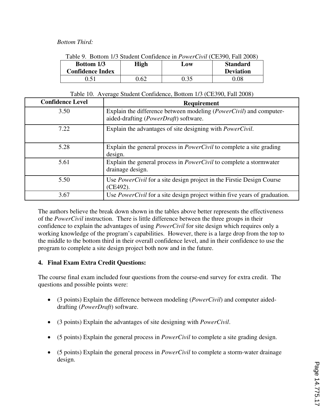### *Bottom Third:*

| Table 9. Bottom 1/3 Student Confidence in <i>PowerCivil</i> (CE390, Fall 2008) |      |      |                                     |  |
|--------------------------------------------------------------------------------|------|------|-------------------------------------|--|
| <b>Bottom 1/3</b><br><b>Confidence Index</b>                                   | High | Low  | <b>Standard</b><br><b>Deviation</b> |  |
| 0.51                                                                           | 0.62 | 0.35 | $0.08\,$                            |  |

|  |  |  |  |  |  |  | Table 9. Bottom 1/3 Student Confidence in <i>PowerCivil</i> (CE390, Fall 2008) |  |
|--|--|--|--|--|--|--|--------------------------------------------------------------------------------|--|
|--|--|--|--|--|--|--|--------------------------------------------------------------------------------|--|

| Table 10. Average Student Confidence, Bottom 1/3 (CE390, Fall 2008) |  |
|---------------------------------------------------------------------|--|
|---------------------------------------------------------------------|--|

| <b>Confidence Level</b> | <b>Requirement</b>                                                                                                   |
|-------------------------|----------------------------------------------------------------------------------------------------------------------|
| 3.50                    | Explain the difference between modeling ( <i>PowerCivil</i> ) and computer-<br>aided-drafting (PowerDraft) software. |
| 7.22                    | Explain the advantages of site designing with <i>PowerCivil</i> .                                                    |
| 5.28                    | Explain the general process in <i>PowerCivil</i> to complete a site grading<br>design.                               |
| 5.61                    | Explain the general process in <i>PowerCivil</i> to complete a stormwater<br>drainage design.                        |
| 5.50                    | Use <i>PowerCivil</i> for a site design project in the Firstie Design Course<br>(CE492).                             |
| 3.67                    | Use <i>PowerCivil</i> for a site design project within five years of graduation.                                     |

The authors believe the break down shown in the tables above better represents the effectiveness of the *PowerCivil* instruction. There is little difference between the three groups in their confidence to explain the advantages of using *PowerCivil* for site design which requires only a working knowledge of the program's capabilities. However, there is a large drop from the top to the middle to the bottom third in their overall confidence level, and in their confidence to use the program to complete a site design project both now and in the future.

## **4. Final Exam Extra Credit Questions:**

The course final exam included four questions from the course-end survey for extra credit. The questions and possible points were:

- (3 points) Explain the difference between modeling (*PowerCivil*) and computer aideddrafting (*PowerDraft*) software.
- (3 points) Explain the advantages of site designing with *PowerCivil*.
- (5 points) Explain the general process in *PowerCivil* to complete a site grading design.
- (5 points) Explain the general process in *PowerCivil* to complete a storm-water drainage design.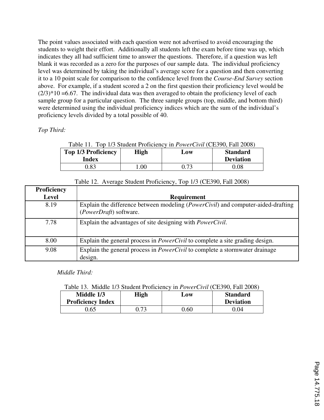The point values associated with each question were not advertised to avoid encouraging the students to weight their effort. Additionally all students left the exam before time was up, which indicates they all had sufficient time to answer the questions. Therefore, if a question was left blank it was recorded as a zero for the purposes of our sample data. The individual proficiency level was determined by taking the individual's average score for a question and then converting it to a 10 point scale for comparison to the confidence level from the *Course-End Survey* section above. For example, if a student scored a 2 on the first question their proficiency level would be  $(2/3)*10 = 6.67$ . The individual data was then averaged to obtain the proficiency level of each sample group for a particular question. The three sample groups (top, middle, and bottom third) were determined using the individual proficiency indices which are the sum of the individual's proficiency levels divided by a total possible of 40.

# *Top Third:*

|  |  |  |  |  | Table 11. Top 1/3 Student Proficiency in <i>PowerCivil</i> (CE390, Fall 2008) |  |
|--|--|--|--|--|-------------------------------------------------------------------------------|--|
|  |  |  |  |  |                                                                               |  |

| <b>Top 1/3 Proficiency</b><br>Index | High   | LOW | <b>Standard</b><br><b>Deviation</b> |
|-------------------------------------|--------|-----|-------------------------------------|
| 0.83                                | $00\,$ | 72  | .08                                 |

| Proficiency  |                                                                                                                     |
|--------------|---------------------------------------------------------------------------------------------------------------------|
| <b>Level</b> | <b>Requirement</b>                                                                                                  |
| 8.19         | Explain the difference between modeling ( <i>PowerCivil</i> ) and computer-aided-drafting<br>(PowerDraft) software. |
| 7.78         | Explain the advantages of site designing with <i>PowerCivil</i> .                                                   |
| 8.00         | Explain the general process in <i>PowerCivil</i> to complete a site grading design.                                 |
| 9.08         | Explain the general process in <i>PowerCivil</i> to complete a stormwater drainage<br>design.                       |

Table 12. Average Student Proficiency, Top 1/3 (CE390, Fall 2008)

 *Middle Third:* 

|--|

| Middle 1/3<br><b>Proficiency Index</b> | High | $\mathbf{\omega}$ ow | <b>Standard</b><br><b>Deviation</b> |
|----------------------------------------|------|----------------------|-------------------------------------|
| ).65                                   |      | ).60                 | .04                                 |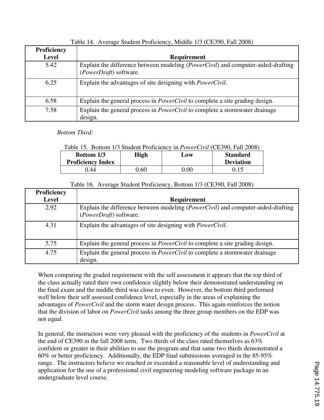| Proficiency |                                                                                                                     |
|-------------|---------------------------------------------------------------------------------------------------------------------|
| Level       | <b>Requirement</b>                                                                                                  |
| 5.42        | Explain the difference between modeling ( <i>PowerCivil</i> ) and computer-aided-drafting<br>(PowerDraft) software. |
| 6.25        | Explain the advantages of site designing with <i>PowerCivil</i> .                                                   |
| 6.58        | Explain the general process in <i>PowerCivil</i> to complete a site grading design.                                 |
| 7.58        | Explain the general process in <i>PowerCivil</i> to complete a stormwater drainage<br>design.                       |

Table 14. Average Student Proficiency, Middle 1/3 (CE390, Fall 2008)

 *Bottom Third:* 

# Table 15. Bottom 1/3 Student Proficiency in *PowerCivil* (CE390, Fall 2008)

| <b>Bottom 1/3</b><br><b>Proficiency Index</b> | High | Low  | <b>Standard</b><br><b>Deviation</b> |
|-----------------------------------------------|------|------|-------------------------------------|
| .44                                           | .60  | 0.00 |                                     |

# Table 16. Average Student Proficiency, Bottom 1/3 (CE390, Fall 2008)

| <b>Proficiency</b> |                                                                                                                     |
|--------------------|---------------------------------------------------------------------------------------------------------------------|
| <b>Level</b>       | <b>Requirement</b>                                                                                                  |
| 2.92               | Explain the difference between modeling ( <i>PowerCivil</i> ) and computer-aided-drafting<br>(PowerDraft) software. |
| 4.31               | Explain the advantages of site designing with <i>PowerCivil</i> .                                                   |
| 5.75               | Explain the general process in <i>PowerCivil</i> to complete a site grading design.                                 |
| 4.75               | Explain the general process in <i>PowerCivil</i> to complete a stormwater drainage<br>design.                       |

When comparing the graded requirement with the self assessment it appears that the top third of the class actually rated their own confidence slightly below their demonstrated understanding on the final exam and the middle third was close to even. However, the bottom third performed well below their self assessed confidence level, especially in the areas of explaining the advantages of *PowerCivil* and the storm water design process. This again reinforces the notion that the division of labor on *PowerCivil* tasks among the three group members on the EDP was not equal.

In general, the instructors were very pleased with the proficiency of the students in *PowerCivil* at the end of CE390 in the fall 2008 term. Two thirds of the class rated themselves as 63% confident or greater in their abilities to use the program and that same two thirds demonstrated a 60% or better proficiency. Additionally, the EDP final submissions averaged in the 85-95% range. The instructors believe we reached or exceeded a reasonable level of understanding and application for the use of a professional civil engineering modeling software package in an undergraduate level course.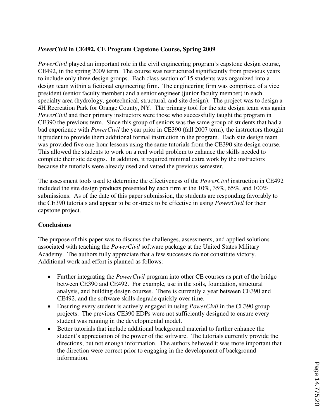# *PowerCivil* **in CE492, CE Program Capstone Course, Spring 2009**

*PowerCivil* played an important role in the civil engineering program's capstone design course, CE492, in the spring 2009 term. The course was restructured significantly from previous years to include only three design groups. Each class section of 15 students was organized into a design team within a fictional engineering firm. The engineering firm was comprised of a vice president (senior faculty member) and a senior engineer (junior faculty member) in each specialty area (hydrology, geotechnical, structural, and site design). The project was to design a 4H Recreation Park for Orange County, NY. The primary tool for the site design team was again *PowerCivil* and their primary instructors were those who successfully taught the program in CE390 the previous term. Since this group of seniors was the same group of students that had a bad experience with *PowerCivil* the year prior in CE390 (fall 2007 term), the instructors thought it prudent to provide them additional formal instruction in the program. Each site design team was provided five one-hour lessons using the same tutorials from the CE390 site design course. This allowed the students to work on a real world problem to enhance the skills needed to complete their site designs. In addition, it required minimal extra work by the instructors because the tutorials were already used and vetted the previous semester.

The assessment tools used to determine the effectiveness of the *PowerCivil* instruction in CE492 included the site design products presented by each firm at the 10%, 35%, 65%, and 100% submissions. As of the date of this paper submission, the students are responding favorably to the CE390 tutorials and appear to be on-track to be effective in using *PowerCivil* for their capstone project.

## **Conclusions**

The purpose of this paper was to discuss the challenges, assessments, and applied solutions associated with teaching the *PowerCivil* software package at the United States Military Academy. The authors fully appreciate that a few successes do not constitute victory. Additional work and effort is planned as follows:

- Further integrating the *PowerCivil* program into other CE courses as part of the bridge between CE390 and CE492. For example, use in the soils, foundation, structural analysis, and building design courses. There is currently a year between CE390 and CE492, and the software skills degrade quickly over time.
- Ensuring every student is actively engaged in using *PowerCivil* in the CE390 group projects. The previous CE390 EDPs were not sufficiently designed to ensure every student was running in the developmental model.
- Better tutorials that include additional background material to further enhance the student's appreciation of the power of the software. The tutorials currently provide the directions, but not enough information. The authors believed it was more important that the direction were correct prior to engaging in the development of background information.